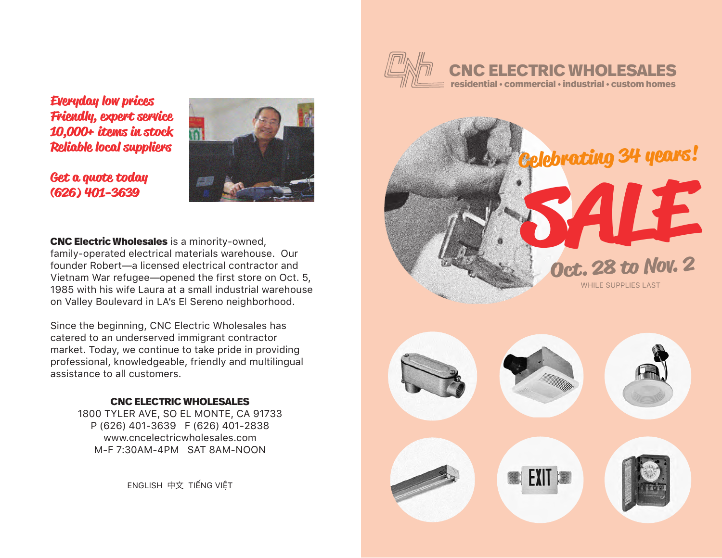

**Everyday low prices Friendly, expert service 10,000+ items in stock Reliable local suppliers**

**Get a quote today (626) 401-3639**



**CNC Electric Wholesales** is a minority-owned, family-operated electrical materials warehouse. Our founder Robert—a licensed electrical contractor and Vietnam War refugee—opened the first store on Oct. 5, 1985 with his wife Laura at a small industrial warehouse on Valley Boulevard in LA's El Sereno neighborhood.

Since the beginning, CNC Electric Wholesales has catered to an underserved immigrant contractor market. Today, we continue to take pride in providing professional, knowledgeable, friendly and multilingual assistance to all customers.

## **CNC ELECTRIC WHOLESALES**

1800 TYLER AVE, SO EL MONTE, CA 91733 P (626) 401-3639 F (626) 401-2838 www.cncelectricwholesales.com M-F 7:30AM-4PM SAT 8AM-NOON

ENGLISH 中文 TIẾNG VIỆT